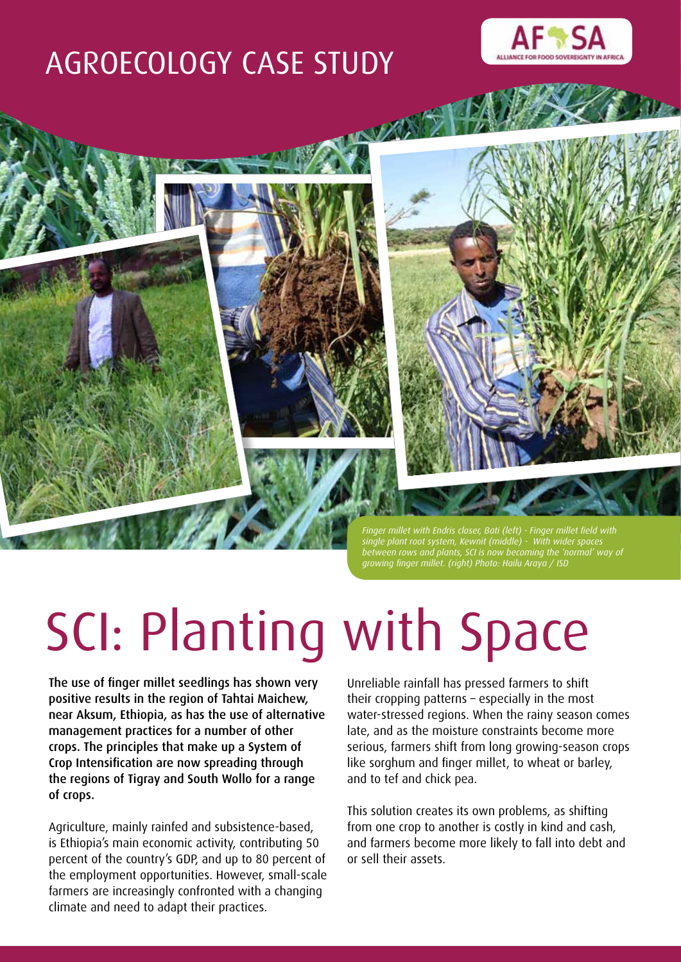# AGROECOLOGY CASE STUDY





*between rows and plants, SCI is now becoming the 'normal' way of growing finger millet. (right) Photo: Hailu Araya / ISD*

# SCI: Planting with Space

The use of finger millet seedlings has shown very positive results in the region of Tahtai Maichew, near Aksum, Ethiopia, as has the use of alternative management practices for a number of other crops. The principles that make up a System of Crop Intensification are now spreading through the regions of Tigray and South Wollo for a range of crops.

Agriculture, mainly rainfed and subsistence-based, is Ethiopia's main economic activity, contributing 50 percent of the country's GDP, and up to 80 percent of the employment opportunities. However, small-scale farmers are increasingly confronted with a changing climate and need to adapt their practices.

Unreliable rainfall has pressed farmers to shift their cropping patterns – especially in the most

water-stressed regions. When the rainy season comes late, and as the moisture constraints become more serious, farmers shift from long growing-season crops like sorghum and finger millet, to wheat or barley, and to tef and chick pea.

This solution creates its own problems, as shifting from one crop to another is costly in kind and cash, and farmers become more likely to fall into debt and or sell their assets.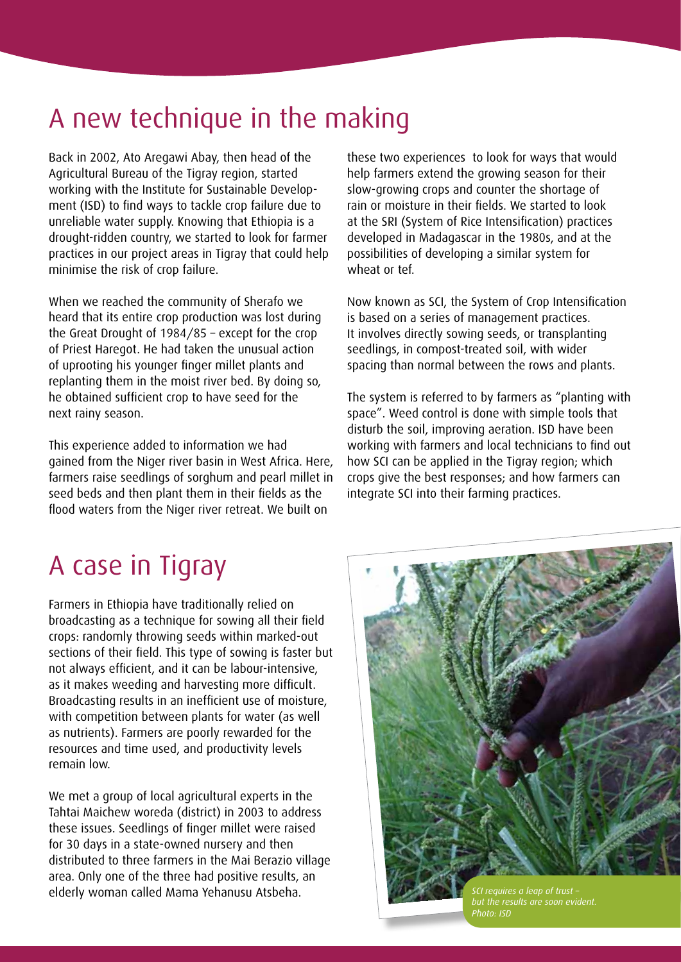### A new technique in the making

Back in 2002, Ato Aregawi Abay, then head of the Agricultural Bureau of the Tigray region, started working with the Institute for Sustainable Development (ISD) to find ways to tackle crop failure due to unreliable water supply. Knowing that Ethiopia is a drought-ridden country, we started to look for farmer practices in our project areas in Tigray that could help minimise the risk of crop failure.

When we reached the community of Sherafo we heard that its entire crop production was lost during the Great Drought of 1984/85 – except for the crop of Priest Haregot. He had taken the unusual action of uprooting his younger finger millet plants and replanting them in the moist river bed. By doing so, he obtained sufficient crop to have seed for the next rainy season.

This experience added to information we had gained from the Niger river basin in West Africa. Here, farmers raise seedlings of sorghum and pearl millet in seed beds and then plant them in their fields as the flood waters from the Niger river retreat. We built on

these two experiences to look for ways that would help farmers extend the growing season for their slow-growing crops and counter the shortage of rain or moisture in their fields. We started to look at the SRI (System of Rice Intensification) practices developed in Madagascar in the 1980s, and at the possibilities of developing a similar system for wheat or tef.

Now known as SCI, the System of Crop Intensification is based on a series of management practices. It involves directly sowing seeds, or transplanting seedlings, in compost-treated soil, with wider spacing than normal between the rows and plants.

The system is referred to by farmers as "planting with space". Weed control is done with simple tools that disturb the soil, improving aeration. ISD have been working with farmers and local technicians to find out how SCI can be applied in the Tigray region; which crops give the best responses; and how farmers can integrate SCI into their farming practices.

# A case in Tigray

Farmers in Ethiopia have traditionally relied on broadcasting as a technique for sowing all their field crops: randomly throwing seeds within marked-out sections of their field. This type of sowing is faster but not always efficient, and it can be labour-intensive, as it makes weeding and harvesting more difficult. Broadcasting results in an inefficient use of moisture, with competition between plants for water (as well as nutrients). Farmers are poorly rewarded for the resources and time used, and productivity levels remain low.

We met a group of local agricultural experts in the Tahtai Maichew woreda (district) in 2003 to address these issues. Seedlings of finger millet were raised for 30 days in a state-owned nursery and then distributed to three farmers in the Mai Berazio village area. Only one of the three had positive results, an elderly woman called Mama Yehanusu Atsbeha. **Science and the California** sci requires a leap of trust



*but the results are soon evident. Photo: ISD*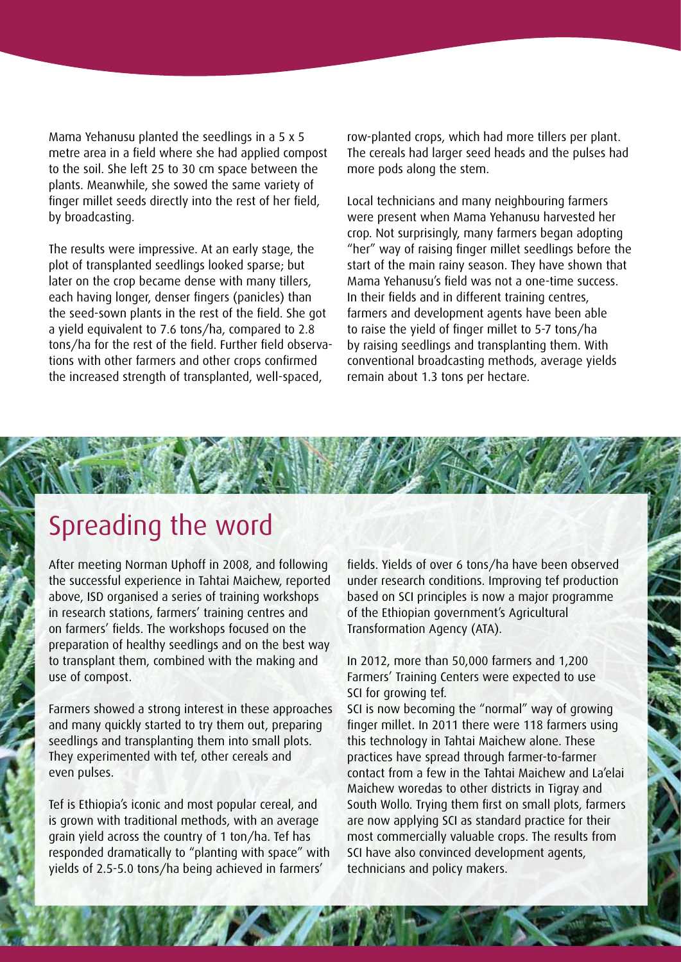Mama Yehanusu planted the seedlings in a 5 x 5 metre area in a field where she had applied compost to the soil. She left 25 to 30 cm space between the plants. Meanwhile, she sowed the same variety of finger millet seeds directly into the rest of her field, by broadcasting.

The results were impressive. At an early stage, the plot of transplanted seedlings looked sparse; but later on the crop became dense with many tillers, each having longer, denser fingers (panicles) than the seed-sown plants in the rest of the field. She got a yield equivalent to 7.6 tons/ha, compared to 2.8 tons/ha for the rest of the field. Further field observations with other farmers and other crops confirmed the increased strength of transplanted, well-spaced,

row-planted crops, which had more tillers per plant. The cereals had larger seed heads and the pulses had more pods along the stem.

Local technicians and many neighbouring farmers were present when Mama Yehanusu harvested her crop. Not surprisingly, many farmers began adopting "her" way of raising finger millet seedlings before the start of the main rainy season. They have shown that Mama Yehanusu's field was not a one-time success. In their fields and in different training centres, farmers and development agents have been able to raise the yield of finger millet to 5-7 tons/ha by raising seedlings and transplanting them. With conventional broadcasting methods, average yields remain about 1.3 tons per hectare.

#### Spreading the word

After meeting Norman Uphoff in 2008, and following the successful experience in Tahtai Maichew, reported above, ISD organised a series of training workshops in research stations, farmers' training centres and on farmers' fields. The workshops focused on the preparation of healthy seedlings and on the best way to transplant them, combined with the making and use of compost.

Farmers showed a strong interest in these approaches and many quickly started to try them out, preparing seedlings and transplanting them into small plots. They experimented with tef, other cereals and even pulses.

Tef is Ethiopia's iconic and most popular cereal, and is grown with traditional methods, with an average grain yield across the country of 1 ton/ha. Tef has responded dramatically to "planting with space" with yields of 2.5-5.0 tons/ha being achieved in farmers'

fields. Yields of over 6 tons/ha have been observed under research conditions. Improving tef production based on SCI principles is now a major programme of the Ethiopian government's Agricultural Transformation Agency (ATA).

In 2012, more than 50,000 farmers and 1,200 Farmers' Training Centers were expected to use SCI for growing tef.

SCI is now becoming the "normal" way of growing finger millet. In 2011 there were 118 farmers using this technology in Tahtai Maichew alone. These practices have spread through farmer-to-farmer contact from a few in the Tahtai Maichew and La'elai Maichew woredas to other districts in Tigray and South Wollo. Trying them first on small plots, farmers are now applying SCI as standard practice for their most commercially valuable crops. The results from SCI have also convinced development agents, technicians and policy makers.